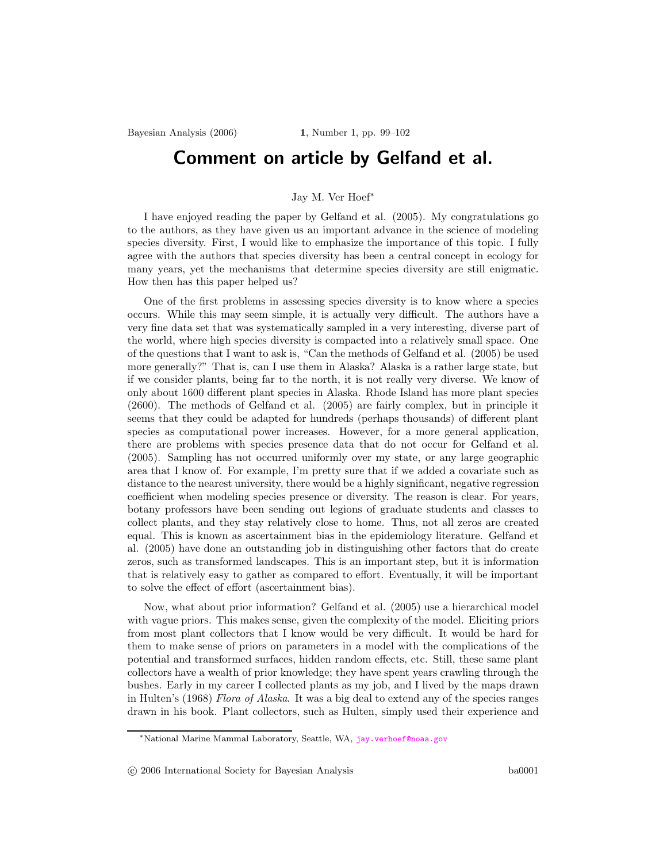## Comment on article by Gelfand et al.

## Jay M. Ver Hoef<sup>∗</sup>

I have enjoyed reading the paper by Gelfand et al. (2005). My congratulations go to the authors, as they have given us an important advance in the science of modeling species diversity. First, I would like to emphasize the importance of this topic. I fully agree with the authors that species diversity has been a central concept in ecology for many years, yet the mechanisms that determine species diversity are still enigmatic. How then has this paper helped us?

One of the first problems in assessing species diversity is to know where a species occurs. While this may seem simple, it is actually very difficult. The authors have a very fine data set that was systematically sampled in a very interesting, diverse part of the world, where high species diversity is compacted into a relatively small space. One of the questions that I want to ask is, "Can the methods of Gelfand et al. (2005) be used more generally?" That is, can I use them in Alaska? Alaska is a rather large state, but if we consider plants, being far to the north, it is not really very diverse. We know of only about 1600 different plant species in Alaska. Rhode Island has more plant species (2600). The methods of Gelfand et al. (2005) are fairly complex, but in principle it seems that they could be adapted for hundreds (perhaps thousands) of different plant species as computational power increases. However, for a more general application, there are problems with species presence data that do not occur for Gelfand et al. (2005). Sampling has not occurred uniformly over my state, or any large geographic area that I know of. For example, I'm pretty sure that if we added a covariate such as distance to the nearest university, there would be a highly significant, negative regression coefficient when modeling species presence or diversity. The reason is clear. For years, botany professors have been sending out legions of graduate students and classes to collect plants, and they stay relatively close to home. Thus, not all zeros are created equal. This is known as ascertainment bias in the epidemiology literature. Gelfand et al. (2005) have done an outstanding job in distinguishing other factors that do create zeros, such as transformed landscapes. This is an important step, but it is information that is relatively easy to gather as compared to effort. Eventually, it will be important to solve the effect of effort (ascertainment bias).

Now, what about prior information? Gelfand et al. (2005) use a hierarchical model with vague priors. This makes sense, given the complexity of the model. Eliciting priors from most plant collectors that I know would be very difficult. It would be hard for them to make sense of priors on parameters in a model with the complications of the potential and transformed surfaces, hidden random effects, etc. Still, these same plant collectors have a wealth of prior knowledge; they have spent years crawling through the bushes. Early in my career I collected plants as my job, and I lived by the maps drawn in Hulten's (1968) Flora of Alaska. It was a big deal to extend any of the species ranges drawn in his book. Plant collectors, such as Hulten, simply used their experience and

<sup>∗</sup>National Marine Mammal Laboratory, Seattle, WA, <jay.verhoef@noaa.gov>

c 2006 International Society for Bayesian Analysis ba0001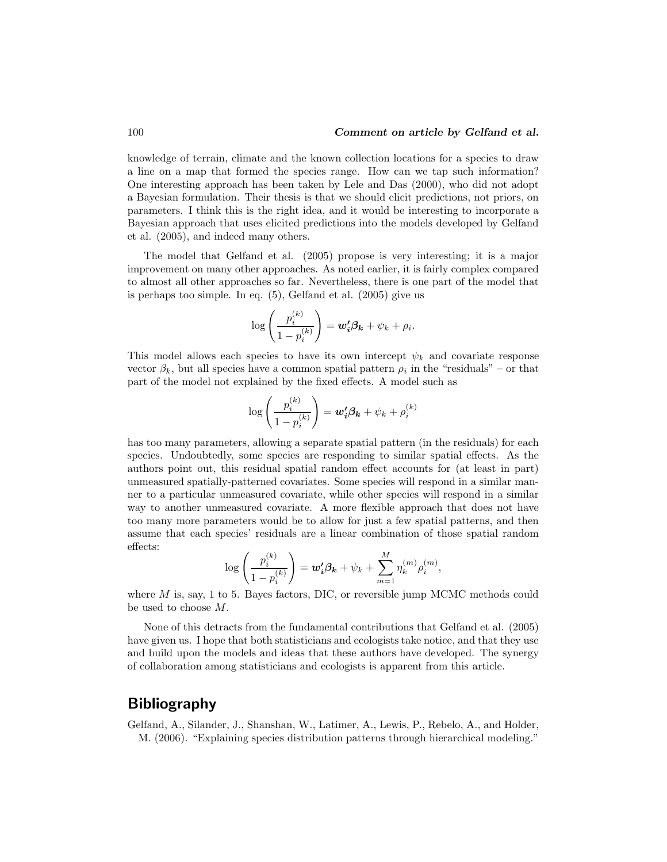## 100 **Comment on article by Gelfand et al.**

knowledge of terrain, climate and the known collection locations for a species to draw a line on a map that formed the species range. How can we tap such information? One interesting approach has been taken by Lele and Das (2000), who did not adopt a Bayesian formulation. Their thesis is that we should elicit predictions, not priors, on parameters. I think this is the right idea, and it would be interesting to incorporate a Bayesian approach that uses elicited predictions into the models developed by Gelfand et al. (2005), and indeed many others.

The model that Gelfand et al. (2005) propose is very interesting; it is a major improvement on many other approaches. As noted earlier, it is fairly complex compared to almost all other approaches so far. Nevertheless, there is one part of the model that is perhaps too simple. In eq. (5), Gelfand et al. (2005) give us

$$
\log\left(\frac{p_i^{(k)}}{1-p_i^{(k)}}\right) = \mathbf{w}'_i \boldsymbol{\beta_k} + \psi_k + \rho_i.
$$

This model allows each species to have its own intercept  $\psi_k$  and covariate response vector  $\beta_k$ , but all species have a common spatial pattern  $\rho_i$  in the "residuals" – or that part of the model not explained by the fixed effects. A model such as

$$
\log\left(\frac{p_i^{(k)}}{1-p_i^{(k)}}\right) = \boldsymbol{w_i'}\boldsymbol{\beta_k} + \psi_k + \rho_i^{(k)}
$$

has too many parameters, allowing a separate spatial pattern (in the residuals) for each species. Undoubtedly, some species are responding to similar spatial effects. As the authors point out, this residual spatial random effect accounts for (at least in part) unmeasured spatially-patterned covariates. Some species will respond in a similar manner to a particular unmeasured covariate, while other species will respond in a similar way to another unmeasured covariate. A more flexible approach that does not have too many more parameters would be to allow for just a few spatial patterns, and then assume that each species' residuals are a linear combination of those spatial random effects:

$$
\log\left(\frac{p_i^{(k)}}{1-p_i^{(k)}}\right) = \mathbf{w_i'}\mathbf{\beta_k} + \psi_k + \sum_{m=1}^{M}\eta_k^{(m)}\rho_i^{(m)},
$$

where  $M$  is, say, 1 to 5. Bayes factors, DIC, or reversible jump MCMC methods could be used to choose M.

None of this detracts from the fundamental contributions that Gelfand et al. (2005) have given us. I hope that both statisticians and ecologists take notice, and that they use and build upon the models and ideas that these authors have developed. The synergy of collaboration among statisticians and ecologists is apparent from this article.

## Bibliography

Gelfand, A., Silander, J., Shanshan, W., Latimer, A., Lewis, P., Rebelo, A., and Holder, M. (2006). "Explaining species distribution patterns through hierarchical modeling."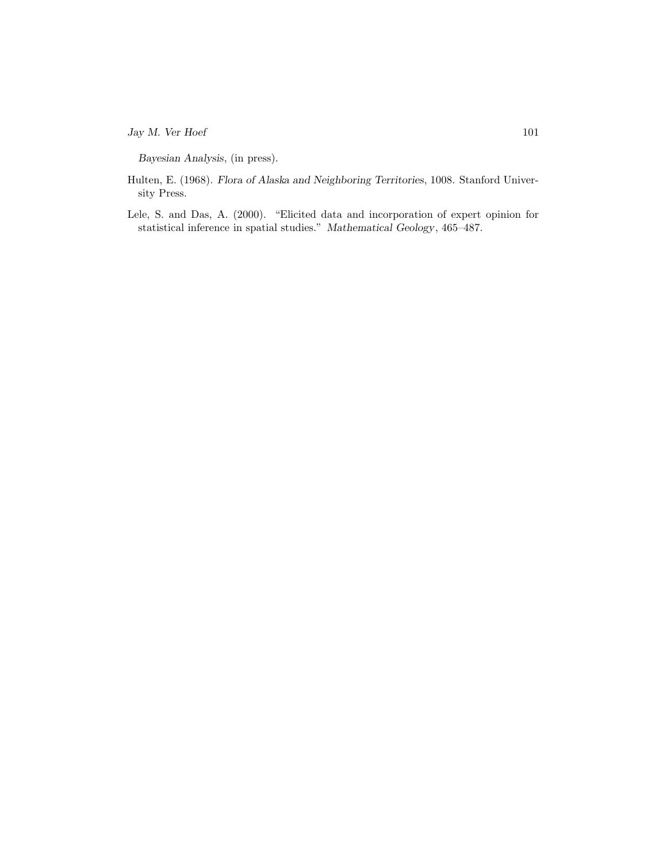$\log M$ . Ver Hoef 101

Bayesian Analysis, (in press).

- Hulten, E. (1968). Flora of Alaska and Neighboring Territories, 1008. Stanford University Press.
- Lele, S. and Das, A. (2000). "Elicited data and incorporation of expert opinion for statistical inference in spatial studies." Mathematical Geology, 465–487.